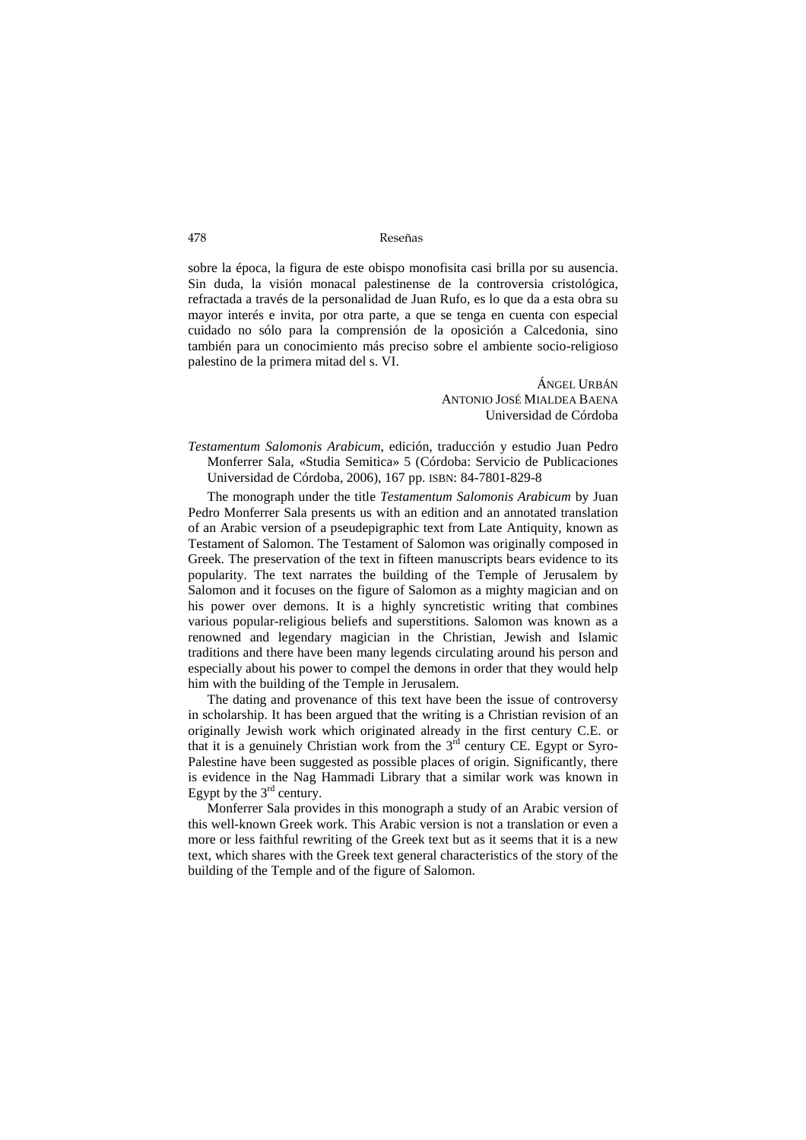## 478 Reseñas

sobre la época, la figura de este obispo monofisita casi brilla por su ausencia. Sin duda, la visión monacal palestinense de la controversia cristológica, refractada a través de la personalidad de Juan Rufo, es lo que da a esta obra su mayor interés e invita, por otra parte, a que se tenga en cuenta con especial cuidado no sólo para la comprensión de la oposición a Calcedonia, sino también para un conocimiento más preciso sobre el ambiente socio-religioso palestino de la primera mitad del s. VI.

> ÁNGEL URBÁN ANTONIO JOSÉ MIALDEA BAENA Universidad de Córdoba

*Testamentum Salomonis Arabicum*, edición, traducción y estudio Juan Pedro Monferrer Sala, «Studia Semitica» 5 (Córdoba: Servicio de Publicaciones Universidad de Córdoba, 2006), 167 pp. ISBN: 84-7801-829-8

The monograph under the title *Testamentum Salomonis Arabicum* by Juan Pedro Monferrer Sala presents us with an edition and an annotated translation of an Arabic version of a pseudepigraphic text from Late Antiquity, known as Testament of Salomon. The Testament of Salomon was originally composed in Greek. The preservation of the text in fifteen manuscripts bears evidence to its popularity. The text narrates the building of the Temple of Jerusalem by Salomon and it focuses on the figure of Salomon as a mighty magician and on his power over demons. It is a highly syncretistic writing that combines various popular-religious beliefs and superstitions. Salomon was known as a renowned and legendary magician in the Christian, Jewish and Islamic traditions and there have been many legends circulating around his person and especially about his power to compel the demons in order that they would help him with the building of the Temple in Jerusalem.

The dating and provenance of this text have been the issue of controversy in scholarship. It has been argued that the writing is a Christian revision of an originally Jewish work which originated already in the first century C.E. or that it is a genuinely Christian work from the  $3<sup>rd</sup>$  century CE. Egypt or Syro-Palestine have been suggested as possible places of origin. Significantly, there is evidence in the Nag Hammadi Library that a similar work was known in Egypt by the  $3<sup>rd</sup>$  century.

Monferrer Sala provides in this monograph a study of an Arabic version of this well-known Greek work. This Arabic version is not a translation or even a more or less faithful rewriting of the Greek text but as it seems that it is a new text, which shares with the Greek text general characteristics of the story of the building of the Temple and of the figure of Salomon.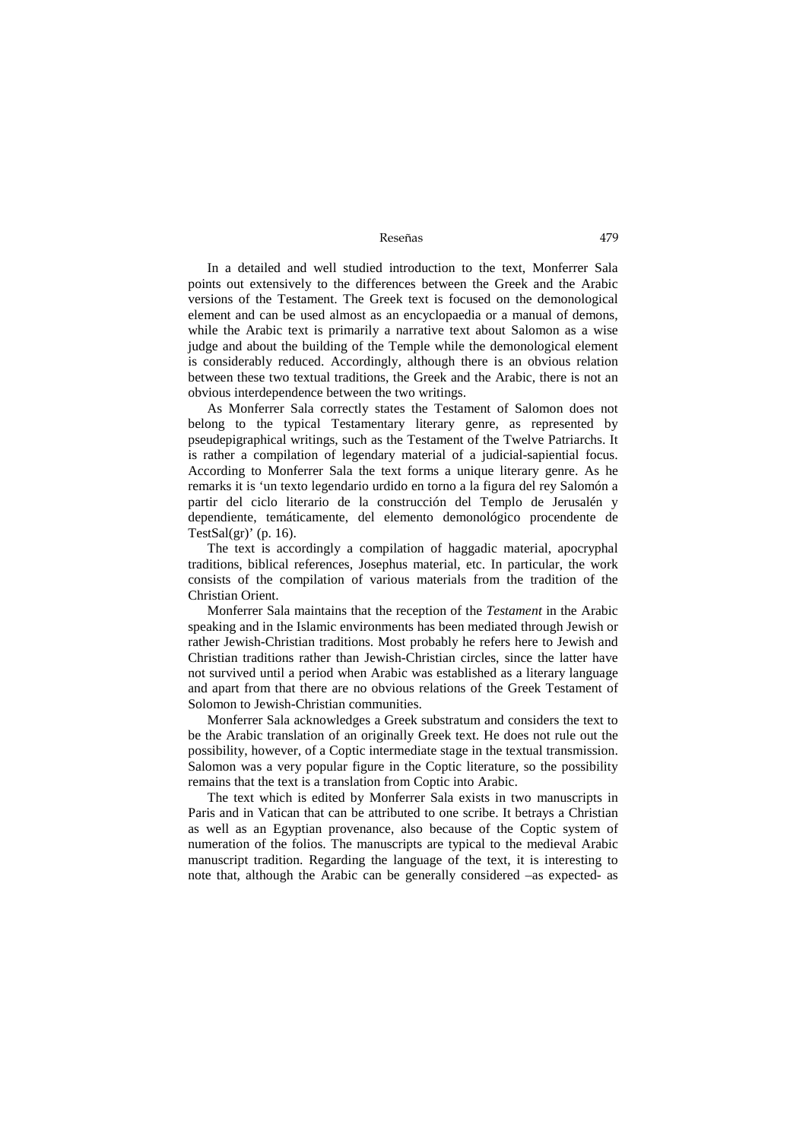Reseñas 479

In a detailed and well studied introduction to the text, Monferrer Sala points out extensively to the differences between the Greek and the Arabic versions of the Testament. The Greek text is focused on the demonological element and can be used almost as an encyclopaedia or a manual of demons, while the Arabic text is primarily a narrative text about Salomon as a wise judge and about the building of the Temple while the demonological element is considerably reduced. Accordingly, although there is an obvious relation between these two textual traditions, the Greek and the Arabic, there is not an obvious interdependence between the two writings.

As Monferrer Sala correctly states the Testament of Salomon does not belong to the typical Testamentary literary genre, as represented by pseudepigraphical writings, such as the Testament of the Twelve Patriarchs. It is rather a compilation of legendary material of a judicial-sapiential focus. According to Monferrer Sala the text forms a unique literary genre. As he remarks it is 'un texto legendario urdido en torno a la figura del rey Salomón a partir del ciclo literario de la construcción del Templo de Jerusalén y dependiente, temáticamente, del elemento demonológico procendente de TestSal $(gr)'$  (p. 16).

The text is accordingly a compilation of haggadic material, apocryphal traditions, biblical references, Josephus material, etc. In particular, the work consists of the compilation of various materials from the tradition of the Christian Orient.

Monferrer Sala maintains that the reception of the *Testament* in the Arabic speaking and in the Islamic environments has been mediated through Jewish or rather Jewish-Christian traditions. Most probably he refers here to Jewish and Christian traditions rather than Jewish-Christian circles, since the latter have not survived until a period when Arabic was established as a literary language and apart from that there are no obvious relations of the Greek Testament of Solomon to Jewish-Christian communities.

Monferrer Sala acknowledges a Greek substratum and considers the text to be the Arabic translation of an originally Greek text. He does not rule out the possibility, however, of a Coptic intermediate stage in the textual transmission. Salomon was a very popular figure in the Coptic literature, so the possibility remains that the text is a translation from Coptic into Arabic.

The text which is edited by Monferrer Sala exists in two manuscripts in Paris and in Vatican that can be attributed to one scribe. It betrays a Christian as well as an Egyptian provenance, also because of the Coptic system of numeration of the folios. The manuscripts are typical to the medieval Arabic manuscript tradition. Regarding the language of the text, it is interesting to note that, although the Arabic can be generally considered –as expected- as